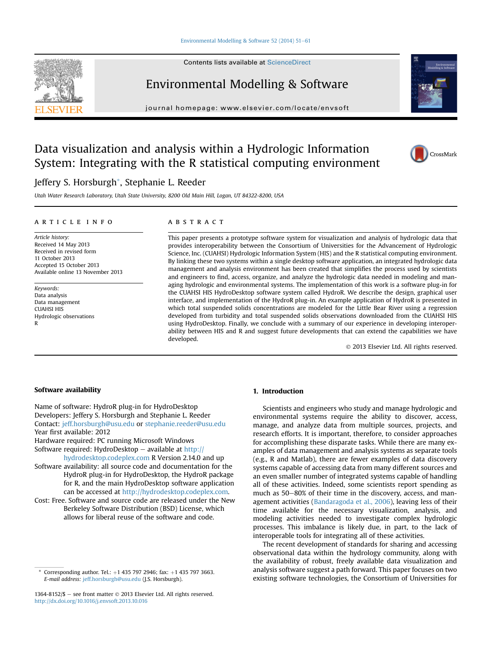#### [Environmental Modelling & Software 52 \(2014\) 51](http://dx.doi.org/10.1016/j.envsoft.2013.10.016)-[61](http://dx.doi.org/10.1016/j.envsoft.2013.10.016)

Contents lists available at ScienceDirect



Environmental Modelling & Software

journal homepage: [www.elsevier.com/locate/envsoft](http://www.elsevier.com/locate/envsoft)



# Data visualization and analysis within a Hydrologic Information System: Integrating with the R statistical computing environment



# Jeffery S. Horsburgh\*, Stephanie L. Reeder

Utah Water Research Laboratory, Utah State University, 8200 Old Main Hill, Logan, UT 84322-8200, USA

#### article info

Article history: Received 14 May 2013 Received in revised form 11 October 2013 Accepted 15 October 2013 Available online 13 November 2013

Keywords: Data analysis Data management CUAHSI HIS Hydrologic observations R

### **ABSTRACT**

This paper presents a prototype software system for visualization and analysis of hydrologic data that provides interoperability between the Consortium of Universities for the Advancement of Hydrologic Science, Inc. (CUAHSI) Hydrologic Information System (HIS) and the R statistical computing environment. By linking these two systems within a single desktop software application, an integrated hydrologic data management and analysis environment has been created that simplifies the process used by scientists and engineers to find, access, organize, and analyze the hydrologic data needed in modeling and managing hydrologic and environmental systems. The implementation of this work is a software plug-in for the CUAHSI HIS HydroDesktop software system called HydroR. We describe the design, graphical user interface, and implementation of the HydroR plug-in. An example application of HydroR is presented in which total suspended solids concentrations are modeled for the Little Bear River using a regression developed from turbidity and total suspended solids observations downloaded from the CUAHSI HIS using HydroDesktop. Finally, we conclude with a summary of our experience in developing interoperability between HIS and R and suggest future developments that can extend the capabilities we have developed.

2013 Elsevier Ltd. All rights reserved.

# Software availability

Name of software: HydroR plug-in for HydroDesktop Developers: Jeffery S. Horsburgh and Stephanie L. Reeder Contact: [jeff.horsburgh@usu.edu](mailto:jeff.horsburgh@usu.edu) or [stephanie.reeder@usu.edu](mailto:stephanie.reeder@usu.edu) Year first available: 2012 Hardware required: PC running Microsoft Windows Software required: HydroDesktop  $-$  available at [http://](http://hydrodesktop.codeplex.com) [hydrodesktop.codeplex.com](http://hydrodesktop.codeplex.com) R Version 2.14.0 and up

- Software availability: all source code and documentation for the HydroR plug-in for HydroDesktop, the HydroR package for R, and the main HydroDesktop software application can be accessed at [http://hydrodesktop.codeplex.com.](http://hydrodesktop.codeplex.com)
- Cost: Free. Software and source code are released under the New Berkeley Software Distribution (BSD) License, which allows for liberal reuse of the software and code.

# 1. Introduction

Scientists and engineers who study and manage hydrologic and environmental systems require the ability to discover, access, manage, and analyze data from multiple sources, projects, and research efforts. It is important, therefore, to consider approaches for accomplishing these disparate tasks. While there are many examples of data management and analysis systems as separate tools (e.g., R and Matlab), there are fewer examples of data discovery systems capable of accessing data from many different sources and an even smaller number of integrated systems capable of handling all of these activities. Indeed, some scientists report spending as much as 50-80% of their time in the discovery, access, and management activities (Bandaragoda et al., 2006), leaving less of their time available for the necessary visualization, analysis, and modeling activities needed to investigate complex hydrologic processes. This imbalance is likely due, in part, to the lack of interoperable tools for integrating all of these activities.

The recent development of standards for sharing and accessing observational data within the hydrology community, along with the availability of robust, freely available data visualization and analysis software suggest a path forward. This paper focuses on two existing software technologies, the Consortium of Universities for

Corresponding author. Tel.:  $+1$  435 797 2946; fax:  $+1$  435 797 3663. E-mail address: [jeff.horsburgh@usu.edu](mailto:jeff.horsburgh@usu.edu) (J.S. Horsburgh).

<sup>1364-8152/\$ -</sup> see front matter  $\odot$  2013 Elsevier Ltd. All rights reserved. <http://dx.doi.org/10.1016/j.envsoft.2013.10.016>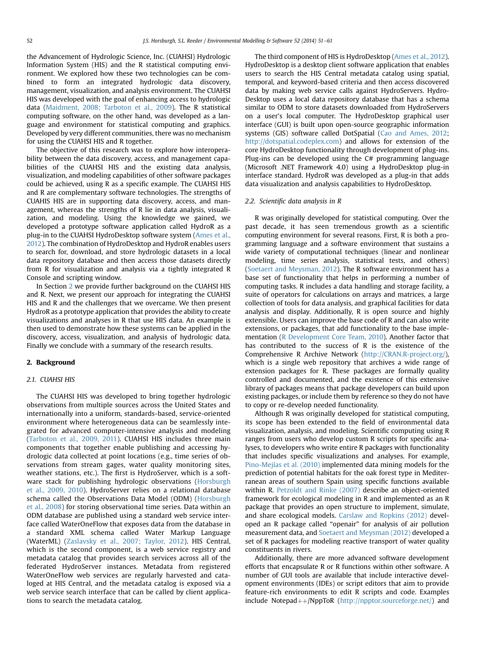the Advancement of Hydrologic Science, Inc. (CUAHSI) Hydrologic Information System (HIS) and the R statistical computing environment. We explored how these two technologies can be combined to form an integrated hydrologic data discovery, management, visualization, and analysis environment. The CUAHSI HIS was developed with the goal of enhancing access to hydrologic data (Maidment, 2008; Tarboton et al., 2009). The R statistical computing software, on the other hand, was developed as a language and environment for statistical computing and graphics. Developed by very different communities, there was no mechanism for using the CUAHSI HIS and R together.

The objective of this research was to explore how interoperability between the data discovery, access, and management capabilities of the CUAHSI HIS and the existing data analysis, visualization, and modeling capabilities of other software packages could be achieved, using R as a specific example. The CUAHSI HIS and R are complementary software technologies. The strengths of CUAHIS HIS are in supporting data discovery, access, and management, whereas the strengths of R lie in data analysis, visualization, and modeling. Using the knowledge we gained, we developed a prototype software application called HydroR as a plug-in to the CUAHSI HydroDesktop software system (Ames et al., 2012). The combination of HydroDesktop and HydroR enables users to search for, download, and store hydrologic datasets in a local data repository database and then access those datasets directly from R for visualization and analysis via a tightly integrated R Console and scripting window.

In Section 2 we provide further background on the CUAHSI HIS and R. Next, we present our approach for integrating the CUAHSI HIS and R and the challenges that we overcame. We then present HydroR as a prototype application that provides the ability to create visualizations and analyses in R that use HIS data. An example is then used to demonstrate how these systems can be applied in the discovery, access, visualization, and analysis of hydrologic data. Finally we conclude with a summary of the research results.

#### 2. Background

# 2.1. CUAHSI HIS

The CUAHSI HIS was developed to bring together hydrologic observations from multiple sources across the United States and internationally into a uniform, standards-based, service-oriented environment where heterogeneous data can be seamlessly integrated for advanced computer-intensive analysis and modeling (Tarboton et al., 2009, 2011). CUAHSI HIS includes three main components that together enable publishing and accessing hydrologic data collected at point locations (e.g., time series of observations from stream gages, water quality monitoring sites, weather stations, etc.). The first is HydroServer, which is a software stack for publishing hydrologic observations (Horsburgh et al., 2009, 2010). HydroServer relies on a relational database schema called the Observations Data Model (ODM) (Horsburgh et al., 2008) for storing observational time series. Data within an ODM database are published using a standard web service interface called WaterOneFlow that exposes data from the database in a standard XML schema called Water Markup Language (WaterML) (Zaslavsky et al., 2007; Taylor, 2012). HIS Central, which is the second component, is a web service registry and metadata catalog that provides search services across all of the federated HydroServer instances. Metadata from registered WaterOneFlow web services are regularly harvested and cataloged at HIS Central, and the metadata catalog is exposed via a web service search interface that can be called by client applications to search the metadata catalog.

The third component of HIS is HydroDesktop (Ames et al., 2012). HydroDesktop is a desktop client software application that enables users to search the HIS Central metadata catalog using spatial, temporal, and keyword-based criteria and then access discovered data by making web service calls against HydroServers. Hydro-Desktop uses a local data repository database that has a schema similar to ODM to store datasets downloaded from HydroServers on a user's local computer. The HydroDesktop graphical user interface (GUI) is built upon open-source geographic information systems (GIS) software called DotSpatial (Cao and Ames, 2012; <http://dotspatial.codeplex.com>) and allows for extension of the core HydroDesktop functionality through development of plug-ins. Plug-ins can be developed using the C# programming language (Microsoft .NET Framework 4.0) using a HydroDesktop plug-in interface standard. HydroR was developed as a plug-in that adds data visualization and analysis capabilities to HydroDesktop.

### 2.2. Scientific data analysis in R

R was originally developed for statistical computing. Over the past decade, it has seen tremendous growth as a scientific computing environment for several reasons. First, R is both a programming language and a software environment that sustains a wide variety of computational techniques (linear and nonlinear modeling, time series analysis, statistical tests, and others) (Soetaert and Meysman, 2012). The R software environment has a base set of functionality that helps in performing a number of computing tasks. R includes a data handling and storage facility, a suite of operators for calculations on arrays and matrices, a large collection of tools for data analysis, and graphical facilities for data analysis and display. Additionally, R is open source and highly extensible. Users can improve the base code of R and can also write extensions, or packages, that add functionality to the base implementation (R Development Core Team, 2010). Another factor that has contributed to the success of R is the existence of the Comprehensive R Archive Network [\(http://CRAN.R-project.org/\)](http://cran.r-project.org/), which is a single web repository that archives a wide range of extension packages for R. These packages are formally quality controlled and documented, and the existence of this extensive library of packages means that package developers can build upon existing packages, or include them by reference so they do not have to copy or re-develop needed functionality.

Although R was originally developed for statistical computing, its scope has been extended to the field of environmental data visualization, analysis, and modeling. Scientific computing using R ranges from users who develop custom R scripts for specific analyses, to developers who write entire R packages with functionality that includes specific visualizations and analyses. For example, Pino-Mejías et al. (2010) implemented data mining models for the prediction of potential habitats for the oak forest type in Mediterranean areas of southern Spain using specific functions available within R. Petzoldt and Rinke (2007) describe an object-oriented framework for ecological modeling in R and implemented as an R package that provides an open structure to implement, simulate, and share ecological models. Carslaw and Ropkins (2012) developed an R package called "openair" for analysis of air pollution measurement data, and Soetaert and Meysman (2012) developed a set of R packages for modeling reactive transport of water quality constituents in rivers.

Additionally, there are more advanced software development efforts that encapsulate R or R functions within other software. A number of GUI tools are available that include interactive development environments (IDEs) or script editors that aim to provide feature-rich environments to edit R scripts and code. Examples include Notepad $++/Np$ ppToR (<http://npptor.sourceforge.net/>) and